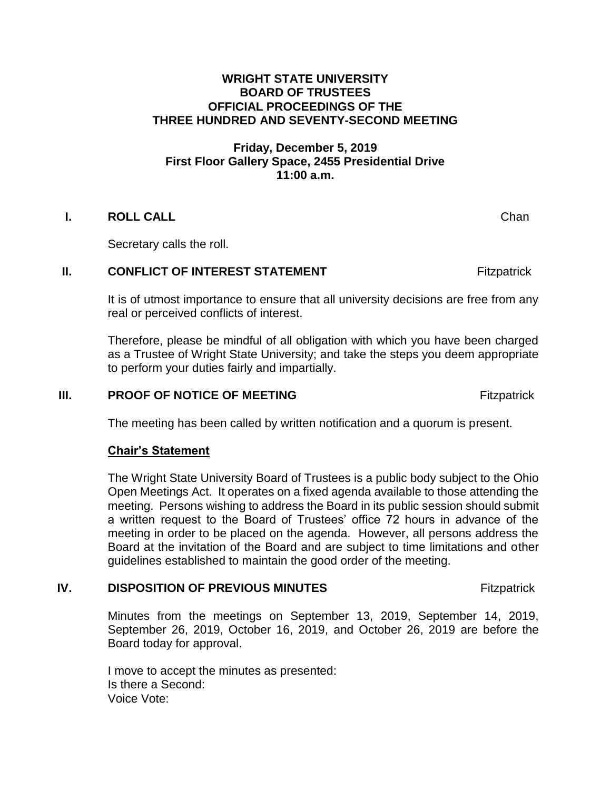#### **WRIGHT STATE UNIVERSITY BOARD OF TRUSTEES OFFICIAL PROCEEDINGS OF THE THREE HUNDRED AND SEVENTY-SECOND MEETING**

## **Friday, December 5, 2019 First Floor Gallery Space, 2455 Presidential Drive 11:00 a.m.**

## **I. ROLL CALL CONSTRUCTER CHANNEL Channel Channel Channel Channel Channel Channel Channel Channel Channel Channel Channel Channel Channel Channel Channel Channel Channel Channel Channel Channel Channel Channel Channe**

Secretary calls the roll.

#### **II. CONFLICT OF INTEREST STATEMENT Fitzpatrick**

It is of utmost importance to ensure that all university decisions are free from any real or perceived conflicts of interest.

Therefore, please be mindful of all obligation with which you have been charged as a Trustee of Wright State University; and take the steps you deem appropriate to perform your duties fairly and impartially.

### **III.** PROOF OF NOTICE OF MEETING **Example 20 For All According to All According Proof of NOTICE OF MEETING**

The meeting has been called by written notification and a quorum is present.

#### **Chair's Statement**

The Wright State University Board of Trustees is a public body subject to the Ohio Open Meetings Act. It operates on a fixed agenda available to those attending the meeting. Persons wishing to address the Board in its public session should submit a written request to the Board of Trustees' office 72 hours in advance of the meeting in order to be placed on the agenda. However, all persons address the Board at the invitation of the Board and are subject to time limitations and other guidelines established to maintain the good order of the meeting.

## **IV. DISPOSITION OF PREVIOUS MINUTES** Fitzpatrick

Minutes from the meetings on September 13, 2019, September 14, 2019, September 26, 2019, October 16, 2019, and October 26, 2019 are before the Board today for approval.

I move to accept the minutes as presented: Is there a Second: Voice Vote: